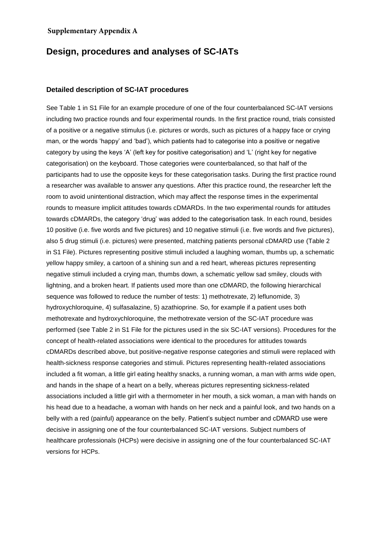## **Supplementary Appendix A**

## **Design, procedures and analyses of SC-IATs**

## **Detailed description of SC-IAT procedures**

See Table 1 in S1 File for an example procedure of one of the four counterbalanced SC-IAT versions including two practice rounds and four experimental rounds. In the first practice round, trials consisted of a positive or a negative stimulus (i.e. pictures or words, such as pictures of a happy face or crying man, or the words 'happy' and 'bad'), which patients had to categorise into a positive or negative category by using the keys 'A' (left key for positive categorisation) and 'L' (right key for negative categorisation) on the keyboard. Those categories were counterbalanced, so that half of the participants had to use the opposite keys for these categorisation tasks. During the first practice round a researcher was available to answer any questions. After this practice round, the researcher left the room to avoid unintentional distraction, which may affect the response times in the experimental rounds to measure implicit attitudes towards cDMARDs. In the two experimental rounds for attitudes towards cDMARDs, the category 'drug' was added to the categorisation task. In each round, besides 10 positive (i.e. five words and five pictures) and 10 negative stimuli (i.e. five words and five pictures), also 5 drug stimuli (i.e. pictures) were presented, matching patients personal cDMARD use (Table 2 in S1 File). Pictures representing positive stimuli included a laughing woman, thumbs up, a schematic yellow happy smiley, a cartoon of a shining sun and a red heart, whereas pictures representing negative stimuli included a crying man, thumbs down, a schematic yellow sad smiley, clouds with lightning, and a broken heart. If patients used more than one cDMARD, the following hierarchical sequence was followed to reduce the number of tests: 1) methotrexate, 2) leflunomide, 3) hydroxychloroquine, 4) sulfasalazine, 5) azathioprine. So, for example if a patient uses both methotrexate and hydroxychloroquine, the methotrexate version of the SC-IAT procedure was performed (see Table 2 in S1 File for the pictures used in the six SC-IAT versions). Procedures for the concept of health-related associations were identical to the procedures for attitudes towards cDMARDs described above, but positive-negative response categories and stimuli were replaced with health-sickness response categories and stimuli. Pictures representing health-related associations included a fit woman, a little girl eating healthy snacks, a running woman, a man with arms wide open, and hands in the shape of a heart on a belly, whereas pictures representing sickness-related associations included a little girl with a thermometer in her mouth, a sick woman, a man with hands on his head due to a headache, a woman with hands on her neck and a painful look, and two hands on a belly with a red (painful) appearance on the belly. Patient's subject number and cDMARD use were decisive in assigning one of the four counterbalanced SC-IAT versions. Subject numbers of healthcare professionals (HCPs) were decisive in assigning one of the four counterbalanced SC-IAT versions for HCPs.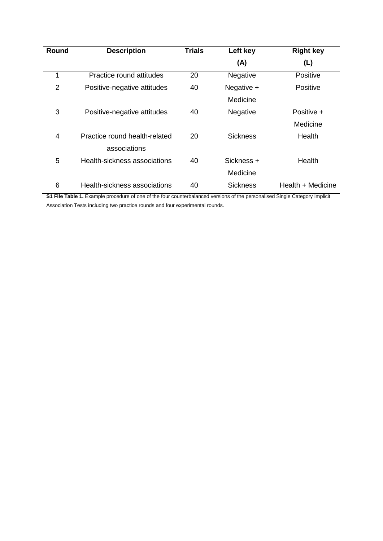| Round          | <b>Description</b>            | <b>Trials</b> | Left key        | <b>Right key</b>  |
|----------------|-------------------------------|---------------|-----------------|-------------------|
|                |                               |               | (A)             | (L)               |
| 1              | Practice round attitudes      | 20            | Negative        | Positive          |
| $\overline{2}$ | Positive-negative attitudes   | 40            | Negative +      | <b>Positive</b>   |
|                |                               |               | Medicine        |                   |
| 3              | Positive-negative attitudes   | 40            | Negative        | Positive +        |
|                |                               |               |                 | Medicine          |
| 4              | Practice round health-related | 20            | <b>Sickness</b> | Health            |
|                | associations                  |               |                 |                   |
| 5              | Health-sickness associations  | 40            | Sickness +      | Health            |
|                |                               |               | Medicine        |                   |
| 6              | Health-sickness associations  | 40            | <b>Sickness</b> | Health + Medicine |

**S1 File Table 1.** Example procedure of one of the four counterbalanced versions of the personalised Single Category Implicit Association Tests including two practice rounds and four experimental rounds.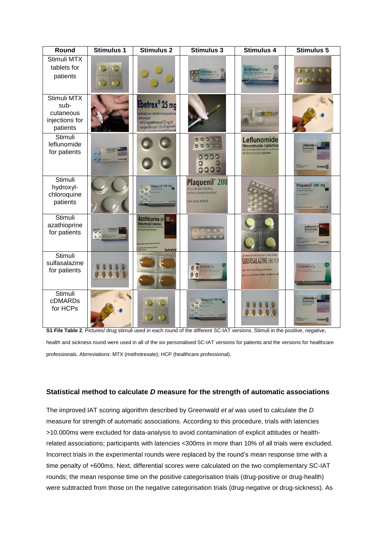| Round                                                          | Stimulus 1          | Stimulus <sub>2</sub>                                                                                                                                                    | Stimulus 3                                                                                             | Stimulus 4                                                                                                                                                    | Stimulus 5                                                           |
|----------------------------------------------------------------|---------------------|--------------------------------------------------------------------------------------------------------------------------------------------------------------------------|--------------------------------------------------------------------------------------------------------|---------------------------------------------------------------------------------------------------------------------------------------------------------------|----------------------------------------------------------------------|
| Stimuli MTX<br>tablets for<br>patients                         |                     |                                                                                                                                                                          | <b>NETHOTREXANT 2,5 PCH</b>                                                                            | <b>METHOTREXAAT 2.5 PCH</b>                                                                                                                                   | 0.0.0.0.0<br>0000                                                    |
| Stimuli MTX<br>sub-<br>cutaneous<br>injections for<br>patients |                     | Ebetrex <sup>®</sup> 25 mg<br>oplossing voor injectie in voorgevulde injer<br>ethotrexaat<br>ml=20 mg methotrexaat (20 mg/ml)<br>voorgevulde spuit (1,25 ml) bevat metho |                                                                                                        |                                                                                                                                                               |                                                                      |
| Stimuli<br>leflunomide<br>for patients                         | o                   |                                                                                                                                                                          | 00000<br>00000<br>0000<br>00000                                                                        | Leflunomide<br>filmomhulde tabletter<br>30 filmomhulde tabletten                                                                                              | Leflunomide CF<br>Centrafarm <sup>(C)</sup>                          |
| Stimuli<br>hydroxyl-<br>chloroquine<br>patients                |                     | Plaquenil <sup>®</sup> 200 mg                                                                                                                                            | Plaquenil <sup>®</sup> 200<br>filmomhulde tabletten<br>hydroxychloroquinesulfaat<br>Voor oraal gebruik |                                                                                                                                                               | Plaquenil <sup>*</sup> 200 mg<br>SANOFI J<br>30 filmontuide tablette |
| Stimuli<br>azathioprine<br>for patients                        | v<br>0 <sup>0</sup> | <b>Azathioprine CF</b> 50 mg<br>dimontuide tablette<br>Centrafarm                                                                                                        | 00000                                                                                                  |                                                                                                                                                               | Azathioprine C                                                       |
| Stimuli<br>sulfasalazine<br>for patients                       |                     |                                                                                                                                                                          | <b>RULFASALAZINE SOLPCH</b><br>0                                                                       | 30 MAAGSAPRESISTENTE TABLETTEN<br><b>SULFASALAZINE 500 PCH</b><br>elks tablet bevat 500 mg sulfasalazine<br>bevat o.a. sorbinezeur (E200), zie bijsluiter voc | SULFASALAZINE 500 PCH                                                |
| Stimuli<br>cDMARDs<br>for HCPs                                 |                     |                                                                                                                                                                          |                                                                                                        |                                                                                                                                                               | Leflunomide ca<br>Centrafarm <sup>C</sup>                            |

**S1 File Table 2.** Pictures/ drug stimuli used in each round of the different SC-IAT versions. Stimuli in the positive, negative, health and sickness round were used in all of the six personalised SC-IAT versions for patients and the versions for healthcare professionals. Abrreviations: MTX (methotrexate); HCP (healthcare professional).

## **Statistical method to calculate** *D* **measure for the strength of automatic associations**

The improved IAT scoring algorithm described by Greenwald *et al* was used to calculate the *D*  measure for strength of automatic associations. According to this procedure, trials with latencies >10.000ms were excluded for data-analysis to avoid contamination of explicit attitudes or healthrelated associations; participants with latencies <300ms in more than 10% of all trials were excluded. Incorrect trials in the experimental rounds were replaced by the round's mean response time with a time penalty of +600ms. Next, differential scores were calculated on the two complementary SC-IAT rounds; the mean response time on the positive categorisation trials (drug-positive or drug-health) were subtracted from those on the negative categorisation trials (drug-negative or drug-sickness). As